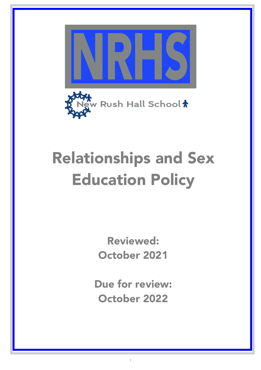



# Relationships and Sex Education Policy

Reviewed: October 2021

Due for review: October 2022

1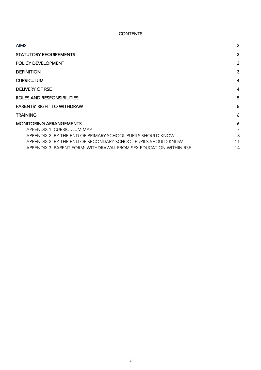# **CONTENTS**

| <b>AIMS</b>                                                       | 3              |
|-------------------------------------------------------------------|----------------|
| <b>STATUTORY REQUIREMENTS</b>                                     | 3              |
| <b>POLICY DEVELOPMENT</b>                                         | 3              |
| <b>DEFINITION</b>                                                 | 3              |
| <b>CURRICULUM</b>                                                 | $\overline{4}$ |
| DELIVERY OF RSE                                                   | 4              |
| ROLES AND RESPONSIBILITIES                                        |                |
| <b>PARENTS' RIGHT TO WITHDRAW</b>                                 | 5              |
| <b>TRAINING</b>                                                   | 6              |
| <b>MONITORING ARRANGEMENTS</b>                                    | 6              |
| APPENDIX 1: CURRICULUM MAP                                        | 7              |
| APPENDIX 2: BY THE END OF PRIMARY SCHOOL PUPILS SHOULD KNOW       | 8              |
| APPENDIX 2: BY THE END OF SECONDARY SCHOOL PUPILS SHOULD KNOW     | 11             |
| APPENDIX 3: PARENT FORM: WITHDRAWAL FROM SEX EDUCATION WITHIN RSE | 14             |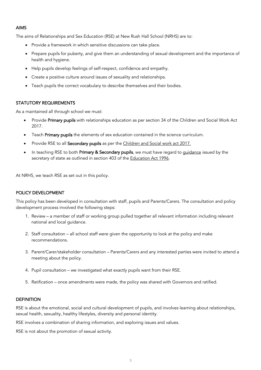#### AIMS

The aims of Relationships and Sex Education (RSE) at New Rush Hall School (NRHS) are to:

- Provide a framework in which sensitive discussions can take place.
- Prepare pupils for puberty, and give them an understanding of sexual development and the importance of health and hygiene.
- Help pupils develop feelings of self-respect, confidence and empathy.
- Create a positive culture around issues of sexuality and relationships.
- Teach pupils the correct vocabulary to describe themselves and their bodies.

#### STATUTORY REQUIREMENTS

As a maintained all through school we must:

- Provide Primary pupils with relationships education as per section 34 of the Children and Social Work Act 2017.
- Teach Primary pupils the elements of sex education contained in the science curriculum.
- Provide RSE to all Secondary pupils as per the Children and Social work act 2017.
- In teaching RSE to both Primary & Secondary pupils, we must have regard to *guidance* issued by the secretary of state as outlined in section 403 of the Education Act 1996.

At NRHS, we teach RSE as set out in this policy.

#### POLICY DEVELOPMENT

This policy has been developed in consultation with staff, pupils and Parents/Carers. The consultation and policy development process involved the following steps:

- 1. Review a member of staff or working group pulled together all relevant information including relevant national and local guidance.
- 2. Staff consultation all school staff were given the opportunity to look at the policy and make recommendations.
- 3. Parent/Carer/stakeholder consultation Parents/Carers and any interested parties were invited to attend a meeting about the policy.
- 4. Pupil consultation we investigated what exactly pupils want from their RSE.
- 5. Ratification once amendments were made, the policy was shared with Governors and ratified.

#### **DEFINITION**

RSE is about the emotional, social and cultural development of pupils, and involves learning about relationships, sexual health, sexuality, healthy lifestyles, diversity and personal identity.

RSE involves a combination of sharing information, and exploring issues and values.

RSE is not about the promotion of sexual activity.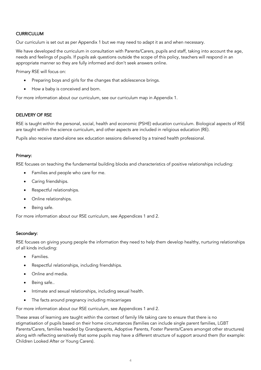# **CURRICULUM**

Our curriculum is set out as per Appendix 1 but we may need to adapt it as and when necessary.

We have developed the curriculum in consultation with Parents/Carers, pupils and staff, taking into account the age, needs and feelings of pupils. If pupils ask questions outside the scope of this policy, teachers will respond in an appropriate manner so they are fully informed and don't seek answers online.

Primary RSE will focus on:

- Preparing boys and girls for the changes that adolescence brings.
- How a baby is conceived and born.

For more information about our curriculum, see our curriculum map in Appendix 1.

#### DELIVERY OF RSE

RSE is taught within the personal, social, health and economic (PSHE) education curriculum. Biological aspects of RSE are taught within the science curriculum, and other aspects are included in religious education (RE).

Pupils also receive stand-alone sex education sessions delivered by a trained health professional.

#### Primary:

RSE focuses on teaching the fundamental building blocks and characteristics of positive relationships including:

- Families and people who care for me.
- Caring friendships.
- Respectful relationships.
- Online relationships.
- Being safe.

For more information about our RSE curriculum, see Appendices 1 and 2.

#### Secondary:

RSE focuses on giving young people the information they need to help them develop healthy, nurturing relationships of all kinds including:

- Families.
- Respectful relationships, including friendships.
- Online and media.
- Being safe..
- Intimate and sexual relationships, including sexual health.
- The facts around pregnancy including miscarriages

For more information about our RSE curriculum, see Appendices 1 and 2.

These areas of learning are taught within the context of family life taking care to ensure that there is no stigmatisation of pupils based on their home circumstances (families can include single parent families, LGBT Parents/Carers, families headed by Grandparents, Adoptive Parents, Foster Parents/Carers amongst other structures) along with reflecting sensitively that some pupils may have a different structure of support around them (for example: Children Looked After or Young Carers).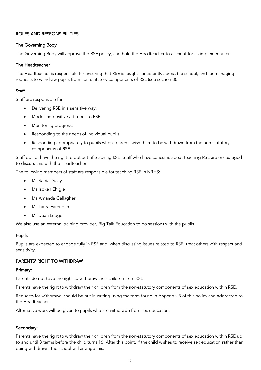# ROLES AND RESPONSIBILITIES

#### The Governing Body

The Governing Body will approve the RSE policy, and hold the Headteacher to account for its implementation.

#### The Headteacher

The Headteacher is responsible for ensuring that RSE is taught consistently across the school, and for managing requests to withdraw pupils from non-statutory components of RSE (see section 8).

#### **Staff**

Staff are responsible for:

- Delivering RSE in a sensitive way.
- Modelling positive attitudes to RSE.
- Monitoring progress.
- Responding to the needs of individual pupils.
- Responding appropriately to pupils whose parents wish them to be withdrawn from the non-statutory components of RSE

Staff do not have the right to opt out of teaching RSE. Staff who have concerns about teaching RSE are encouraged to discuss this with the Headteacher.

The following members of staff are responsible for teaching RSE in NRHS:

- Ms Sabia Dulay
- Ms Isoken Ehigie
- Ms Amanda Gallagher
- Ms Laura Farenden
- Mr Dean Ledger

We also use an external training provider, Big Talk Education to do sessions with the pupils.

#### Pupils

Pupils are expected to engage fully in RSE and, when discussing issues related to RSE, treat others with respect and sensitivity.

#### PARENTS' RIGHT TO WITHDRAW

#### Primary:

Parents do not have the right to withdraw their children from RSE.

Parents have the right to withdraw their children from the non-statutory components of sex education within RSE.

Requests for withdrawal should be put in writing using the form found in Appendix 3 of this policy and addressed to the Headteacher.

Alternative work will be given to pupils who are withdrawn from sex education.

#### Secondary:

Parents have the right to withdraw their children from the non-statutory components of sex education within RSE up to and until 3 terms before the child turns 16. After this point, if the child wishes to receive sex education rather than being withdrawn, the school will arrange this.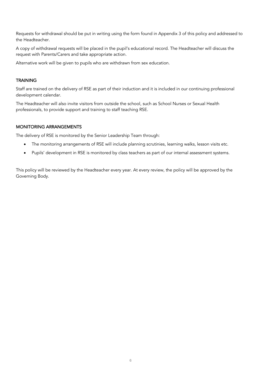Requests for withdrawal should be put in writing using the form found in Appendix 3 of this policy and addressed to the Headteacher.

A copy of withdrawal requests will be placed in the pupil's educational record. The Headteacher will discuss the request with Parents/Carers and take appropriate action.

Alternative work will be given to pupils who are withdrawn from sex education.

#### **TRAINING**

Staff are trained on the delivery of RSE as part of their induction and it is included in our continuing professional development calendar.

The Headteacher will also invite visitors from outside the school, such as School Nurses or Sexual Health professionals, to provide support and training to staff teaching RSE.

#### MONITORING ARRANGEMENTS

The delivery of RSE is monitored by the Senior Leadership Team through:

- The monitoring arrangements of RSE will include planning scrutinies, learning walks, lesson visits etc.
- Pupils' development in RSE is monitored by class teachers as part of our internal assessment systems.

This policy will be reviewed by the Headteacher every year. At every review, the policy will be approved by the Governing Body.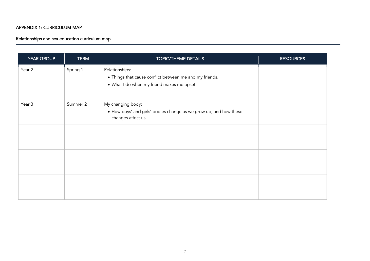# APPENDIX 1: CURRICULUM MAP

# Relationships and sex education curriculum map

| <b>YEAR GROUP</b> | <b>TERM</b> | <b>TOPIC/THEME DETAILS</b>                                                                                              | <b>RESOURCES</b> |
|-------------------|-------------|-------------------------------------------------------------------------------------------------------------------------|------------------|
| Year 2            | Spring 1    | Relationships:<br>• Things that cause conflict between me and my friends.<br>• What I do when my friend makes me upset. |                  |
| Year 3            | Summer 2    | My changing body:<br>• How boys' and girls' bodies change as we grow up, and how these<br>changes affect us.            |                  |
|                   |             |                                                                                                                         |                  |
|                   |             |                                                                                                                         |                  |
|                   |             |                                                                                                                         |                  |
|                   |             |                                                                                                                         |                  |
|                   |             |                                                                                                                         |                  |
|                   |             |                                                                                                                         |                  |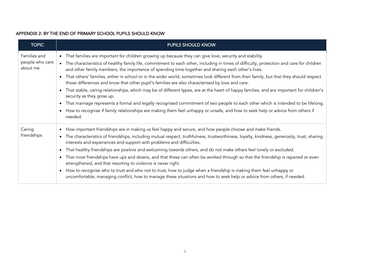# APPENDIX 2: BY THE END OF PRIMARY SCHOOL PUPILS SHOULD KNOW

| <b>TOPIC</b>                                | <b>PUPILS SHOULD KNOW</b>                                                                                                                                                                                                                                                                                                                                                                                                                                                                                                                                                                                                                                                                                                                                                                                                                                                                                                                                                                                                                                                         |
|---------------------------------------------|-----------------------------------------------------------------------------------------------------------------------------------------------------------------------------------------------------------------------------------------------------------------------------------------------------------------------------------------------------------------------------------------------------------------------------------------------------------------------------------------------------------------------------------------------------------------------------------------------------------------------------------------------------------------------------------------------------------------------------------------------------------------------------------------------------------------------------------------------------------------------------------------------------------------------------------------------------------------------------------------------------------------------------------------------------------------------------------|
| Families and<br>people who care<br>about me | • That families are important for children growing up because they can give love, security and stability.<br>The characteristics of healthy family life, commitment to each other, including in times of difficulty, protection and care for children<br>$\bullet$<br>and other family members, the importance of spending time together and sharing each other's lives.<br>That others' families, either in school or in the wider world, sometimes look different from their family, but that they should respect<br>those differences and know that other pupil's families are also characterised by love and care.<br>That stable, caring relationships, which may be of different types, are at the heart of happy families, and are important for children's<br>security as they grow up.<br>That marriage represents a formal and legally recognised commitment of two people to each other which is intended to be lifelong.<br>How to recognise if family relationships are making them feel unhappy or unsafe, and how to seek help or advice from others if<br>needed. |
| Caring<br>friendships                       | How important friendships are in making us feel happy and secure, and how people choose and make friends.<br>The characteristics of friendships, including mutual respect, truthfulness, trustworthiness, loyalty, kindness, generosity, trust, sharing<br>interests and experiences and support with problems and difficulties.<br>That healthy friendships are positive and welcoming towards others, and do not make others feel lonely or excluded.<br>$\bullet$<br>That most friendships have ups and downs, and that these can often be worked through so that the friendship is repaired or even<br>strengthened, and that resorting to violence is never right.<br>How to recognise who to trust and who not to trust, how to judge when a friendship is making them feel unhappy or<br>$\bullet$<br>uncomfortable, managing conflict, how to manage these situations and how to seek help or advice from others, if needed.                                                                                                                                              |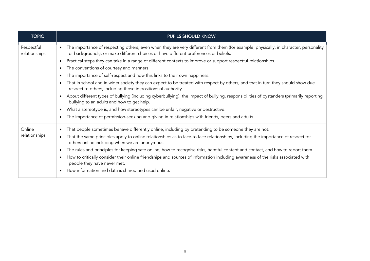| <b>TOPIC</b>                | PUPILS SHOULD KNOW                                                                                                                                                                                                           |
|-----------------------------|------------------------------------------------------------------------------------------------------------------------------------------------------------------------------------------------------------------------------|
| Respectful<br>relationships | The importance of respecting others, even when they are very different from them (for example, physically, in character, personality<br>or backgrounds), or make different choices or have different preferences or beliefs. |
|                             | Practical steps they can take in a range of different contexts to improve or support respectful relationships.                                                                                                               |
|                             | The conventions of courtesy and manners                                                                                                                                                                                      |
|                             | The importance of self-respect and how this links to their own happiness.                                                                                                                                                    |
|                             | That in school and in wider society they can expect to be treated with respect by others, and that in turn they should show due<br>respect to others, including those in positions of authority.                             |
|                             | About different types of bullying (including cyberbullying), the impact of bullying, responsibilities of bystanders (primarily reporting<br>bullying to an adult) and how to get help.                                       |
|                             | What a stereotype is, and how stereotypes can be unfair, negative or destructive.                                                                                                                                            |
|                             | The importance of permission-seeking and giving in relationships with friends, peers and adults.                                                                                                                             |
| Online                      | That people sometimes behave differently online, including by pretending to be someone they are not.                                                                                                                         |
| relationships               | That the same principles apply to online relationships as to face-to face relationships, including the importance of respect for<br>others online including when we are anonymous.                                           |
|                             | The rules and principles for keeping safe online, how to recognise risks, harmful content and contact, and how to report them.                                                                                               |
|                             | How to critically consider their online friendships and sources of information including awareness of the risks associated with<br>people they have never met.                                                               |
|                             | How information and data is shared and used online.                                                                                                                                                                          |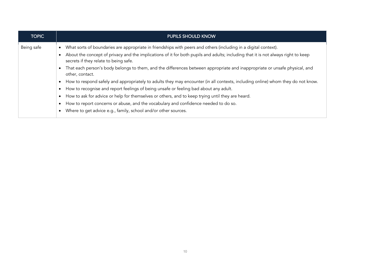| <b>TOPIC</b> | <b>PUPILS SHOULD KNOW</b>                                                                                                                                                  |
|--------------|----------------------------------------------------------------------------------------------------------------------------------------------------------------------------|
| Being safe   | What sorts of boundaries are appropriate in friendships with peers and others (including in a digital context).                                                            |
|              | About the concept of privacy and the implications of it for both pupils and adults; including that it is not always right to keep<br>secrets if they relate to being safe. |
|              | That each person's body belongs to them, and the differences between appropriate and inappropriate or unsafe physical, and<br>other, contact.                              |
|              | How to respond safely and appropriately to adults they may encounter (in all contexts, including online) whom they do not know.                                            |
|              | How to recognise and report feelings of being unsafe or feeling bad about any adult.                                                                                       |
|              | How to ask for advice or help for themselves or others, and to keep trying until they are heard.                                                                           |
|              | How to report concerns or abuse, and the vocabulary and confidence needed to do so.                                                                                        |
|              | Where to get advice e.g., family, school and/or other sources.                                                                                                             |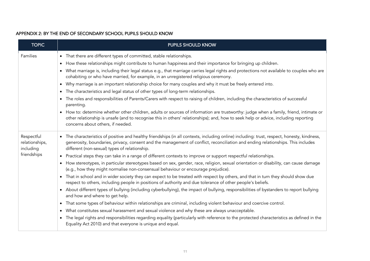#### APPENDIX 2: BY THE END OF SECONDARY SCHOOL PUPILS SHOULD KNOW

| <b>TOPIC</b>                                             | <b>PUPILS SHOULD KNOW</b>                                                                                                                                                                                                                                                                                                                                                                                                                                                                                                                                                                                                                                                                                                                                                                                                                                                                                                                                                                                                                                                                                                                                                                                                                                                                                                                                                                                                                                                                                                                                           |
|----------------------------------------------------------|---------------------------------------------------------------------------------------------------------------------------------------------------------------------------------------------------------------------------------------------------------------------------------------------------------------------------------------------------------------------------------------------------------------------------------------------------------------------------------------------------------------------------------------------------------------------------------------------------------------------------------------------------------------------------------------------------------------------------------------------------------------------------------------------------------------------------------------------------------------------------------------------------------------------------------------------------------------------------------------------------------------------------------------------------------------------------------------------------------------------------------------------------------------------------------------------------------------------------------------------------------------------------------------------------------------------------------------------------------------------------------------------------------------------------------------------------------------------------------------------------------------------------------------------------------------------|
| Families                                                 | • That there are different types of committed, stable relationships.<br>How these relationships might contribute to human happiness and their importance for bringing up children.<br>What marriage is, including their legal status e.g., that marriage carries legal rights and protections not available to couples who are<br>cohabiting or who have married, for example, in an unregistered religious ceremony.<br>Why marriage is an important relationship choice for many couples and why it must be freely entered into.<br>The characteristics and legal status of other types of long-term relationships.<br>$\bullet$<br>The roles and responsibilities of Parents/Carers with respect to raising of children, including the characteristics of successful<br>parenting.<br>How to: determine whether other children, adults or sources of information are trustworthy: judge when a family, friend, intimate or<br>$\bullet$<br>other relationship is unsafe (and to recognise this in others' relationships); and, how to seek help or advice, including reporting<br>concerns about others, if needed.                                                                                                                                                                                                                                                                                                                                                                                                                                              |
| Respectful<br>relationships,<br>including<br>friendships | • The characteristics of positive and healthy friendships (in all contexts, including online) including: trust, respect, honesty, kindness,<br>generosity, boundaries, privacy, consent and the management of conflict, reconciliation and ending relationships. This includes<br>different (non-sexual) types of relationship.<br>Practical steps they can take in a range of different contexts to improve or support respectful relationships.<br>$\bullet$<br>How stereotypes, in particular stereotypes based on sex, gender, race, religion, sexual orientation or disability, can cause damage<br>(e.g., how they might normalise non-consensual behaviour or encourage prejudice).<br>That in school and in wider society they can expect to be treated with respect by others, and that in turn they should show due<br>respect to others, including people in positions of authority and due tolerance of other people's beliefs.<br>About different types of bullying (including cyberbullying), the impact of bullying, responsibilities of bystanders to report bullying<br>and how and where to get help.<br>That some types of behaviour within relationships are criminal, including violent behaviour and coercive control.<br>$\bullet$<br>What constitutes sexual harassment and sexual violence and why these are always unacceptable.<br>The legal rights and responsibilities regarding equality (particularly with reference to the protected characteristics as defined in the<br>Equality Act 2010) and that everyone is unique and equal. |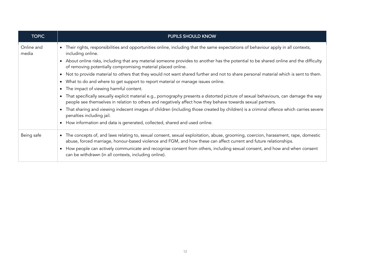| <b>TOPIC</b>        | <b>PUPILS SHOULD KNOW</b>                                                                                                                                                                                                                              |
|---------------------|--------------------------------------------------------------------------------------------------------------------------------------------------------------------------------------------------------------------------------------------------------|
| Online and<br>media | Their rights, responsibilities and opportunities online, including that the same expectations of behaviour apply in all contexts,<br>$\bullet$<br>including online.                                                                                    |
|                     | About online risks, including that any material someone provides to another has the potential to be shared online and the difficulty<br>of removing potentially compromising material placed online.                                                   |
|                     | Not to provide material to others that they would not want shared further and not to share personal material which is sent to them.                                                                                                                    |
|                     | What to do and where to get support to report material or manage issues online.                                                                                                                                                                        |
|                     | The impact of viewing harmful content.                                                                                                                                                                                                                 |
|                     | That specifically sexually explicit material e.g., pornography presents a distorted picture of sexual behaviours, can damage the way<br>people see themselves in relation to others and negatively affect how they behave towards sexual partners.     |
|                     | That sharing and viewing indecent images of children (including those created by children) is a criminal offence which carries severe<br>penalties including jail.                                                                                     |
|                     | How information and data is generated, collected, shared and used online.                                                                                                                                                                              |
| Being safe          | The concepts of, and laws relating to, sexual consent, sexual exploitation, abuse, grooming, coercion, harassment, rape, domestic<br>abuse, forced marriage, honour-based violence and FGM, and how these can affect current and future relationships. |
|                     | How people can actively communicate and recognise consent from others, including sexual consent, and how and when consent<br>can be withdrawn (in all contexts, including online).                                                                     |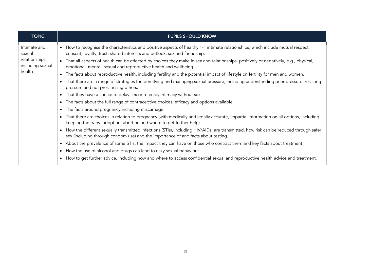| <b>TOPIC</b>                                                 | <b>PUPILS SHOULD KNOW</b>                                                                                                                                                                                                                                                                                                                                                                                                   |
|--------------------------------------------------------------|-----------------------------------------------------------------------------------------------------------------------------------------------------------------------------------------------------------------------------------------------------------------------------------------------------------------------------------------------------------------------------------------------------------------------------|
| Intimate and<br>sexual<br>relationships,<br>including sexual | • How to recognise the characteristics and positive aspects of healthy 1-1 intimate relationships, which include mutual respect,<br>consent, loyalty, trust, shared interests and outlook, sex and friendship.<br>• That all aspects of health can be affected by choices they make in sex and relationships, positively or negatively, e.g., physical,<br>emotional, mental, sexual and reproductive health and wellbeing. |
| health                                                       | The facts about reproductive health, including fertility and the potential impact of lifestyle on fertility for men and women.                                                                                                                                                                                                                                                                                              |
|                                                              | That there are a range of strategies for identifying and managing sexual pressure, including understanding peer pressure, resisting<br>pressure and not pressurising others.                                                                                                                                                                                                                                                |
|                                                              | That they have a choice to delay sex or to enjoy intimacy without sex.<br>$\bullet$                                                                                                                                                                                                                                                                                                                                         |
|                                                              | The facts about the full range of contraceptive choices, efficacy and options available.                                                                                                                                                                                                                                                                                                                                    |
|                                                              | The facts around pregnancy including miscarriage.<br>$\bullet$                                                                                                                                                                                                                                                                                                                                                              |
|                                                              | That there are choices in relation to pregnancy (with medically and legally accurate, impartial information on all options, including<br>keeping the baby, adoption, abortion and where to get further help).                                                                                                                                                                                                               |
|                                                              | How the different sexually transmitted infections (STIs), including HIV/AIDs, are transmitted, how risk can be reduced through safer<br>sex (including through condom use) and the importance of and facts about testing.                                                                                                                                                                                                   |
|                                                              | About the prevalence of some STIs, the impact they can have on those who contract them and key facts about treatment.                                                                                                                                                                                                                                                                                                       |
|                                                              | How the use of alcohol and drugs can lead to risky sexual behaviour.                                                                                                                                                                                                                                                                                                                                                        |
|                                                              | How to get further advice, including how and where to access confidential sexual and reproductive health advice and treatment.                                                                                                                                                                                                                                                                                              |